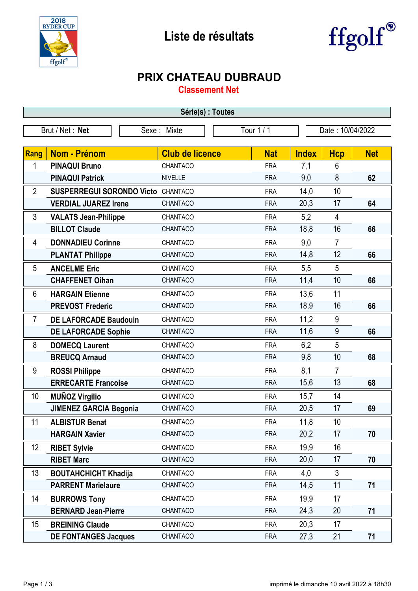



## **PRIX CHATEAU DUBRAUD**

**Classement Net**

| Série(s) : Toutes                                                |                                  |                        |            |              |                |            |  |
|------------------------------------------------------------------|----------------------------------|------------------------|------------|--------------|----------------|------------|--|
| Tour 1 / 1<br>Brut / Net: Net<br>Sexe: Mixte<br>Date: 10/04/2022 |                                  |                        |            |              |                |            |  |
|                                                                  |                                  |                        |            |              |                |            |  |
| <b>Rang</b>                                                      | <b>Nom - Prénom</b>              | <b>Club de licence</b> | <b>Nat</b> | <b>Index</b> | <b>Hcp</b>     | <b>Net</b> |  |
| 1                                                                | <b>PINAQUI Bruno</b>             | CHANTACO               | <b>FRA</b> | 7,1          | 6              |            |  |
|                                                                  | <b>PINAQUI Patrick</b>           | <b>NIVELLE</b>         | <b>FRA</b> | 9,0          | 8              | 62         |  |
| $\overline{2}$                                                   | <b>SUSPERREGUI SORONDO Victo</b> | CHANTACO               | <b>FRA</b> | 14,0         | 10             |            |  |
|                                                                  | <b>VERDIAL JUAREZ Irene</b>      | CHANTACO               | <b>FRA</b> | 20,3         | 17             | 64         |  |
| 3                                                                | <b>VALATS Jean-Philippe</b>      | CHANTACO               | <b>FRA</b> | 5,2          | 4              |            |  |
|                                                                  | <b>BILLOT Claude</b>             | CHANTACO               | <b>FRA</b> | 18,8         | 16             | 66         |  |
| 4                                                                | <b>DONNADIEU Corinne</b>         | CHANTACO               | <b>FRA</b> | 9,0          | $\overline{7}$ |            |  |
|                                                                  | <b>PLANTAT Philippe</b>          | CHANTACO               | <b>FRA</b> | 14,8         | 12             | 66         |  |
| 5                                                                | <b>ANCELME Eric</b>              | CHANTACO               | <b>FRA</b> | 5,5          | 5              |            |  |
|                                                                  | <b>CHAFFENET Oihan</b>           | CHANTACO               | <b>FRA</b> | 11,4         | 10             | 66         |  |
| 6                                                                | <b>HARGAIN Etienne</b>           | CHANTACO               | <b>FRA</b> | 13,6         | 11             |            |  |
|                                                                  | <b>PREVOST Frederic</b>          | CHANTACO               | <b>FRA</b> | 18,9         | 16             | 66         |  |
| $\overline{7}$                                                   | <b>DE LAFORCADE Baudouin</b>     | CHANTACO               | <b>FRA</b> | 11,2         | 9              |            |  |
|                                                                  | <b>DE LAFORCADE Sophie</b>       | CHANTACO               | <b>FRA</b> | 11,6         | 9              | 66         |  |
| 8                                                                | <b>DOMECQ Laurent</b>            | CHANTACO               | <b>FRA</b> | 6,2          | 5              |            |  |
|                                                                  | <b>BREUCQ Arnaud</b>             | CHANTACO               | <b>FRA</b> | 9,8          | 10             | 68         |  |
| 9                                                                | <b>ROSSI Philippe</b>            | CHANTACO               | <b>FRA</b> | 8,1          | $\overline{7}$ |            |  |
|                                                                  | <b>ERRECARTE Francoise</b>       | CHANTACO               | <b>FRA</b> | 15,6         | 13             | 68         |  |
| 10                                                               | <b>MUÑOZ Virgilio</b>            | CHANTACO               | <b>FRA</b> | 15,7         | 14             |            |  |
|                                                                  | <b>JIMENEZ GARCIA Begonia</b>    | CHANTACO               | <b>FRA</b> | 20,5         | 17             | 69         |  |
| 11                                                               | <b>ALBISTUR Benat</b>            | CHANTACO               | <b>FRA</b> | 11,8         | 10             |            |  |
|                                                                  | <b>HARGAIN Xavier</b>            | CHANTACO               | <b>FRA</b> | 20,2         | 17             | 70         |  |
| 12                                                               | <b>RIBET Sylvie</b>              | CHANTACO               | <b>FRA</b> | 19,9         | 16             |            |  |
|                                                                  | <b>RIBET Marc</b>                | CHANTACO               | <b>FRA</b> | 20,0         | 17             | 70         |  |
| 13                                                               | <b>BOUTAHCHICHT Khadija</b>      | CHANTACO               | <b>FRA</b> | 4,0          | 3              |            |  |
|                                                                  | <b>PARRENT Marielaure</b>        | CHANTACO               | <b>FRA</b> | 14,5         | 11             | 71         |  |
| 14                                                               | <b>BURROWS Tony</b>              | CHANTACO               | <b>FRA</b> | 19,9         | 17             |            |  |
|                                                                  | <b>BERNARD Jean-Pierre</b>       | CHANTACO               | <b>FRA</b> | 24,3         | 20             | 71         |  |
| 15                                                               | <b>BREINING Claude</b>           | CHANTACO               | <b>FRA</b> | 20,3         | 17             |            |  |
|                                                                  | <b>DE FONTANGES Jacques</b>      | CHANTACO               | <b>FRA</b> | 27,3         | 21             | 71         |  |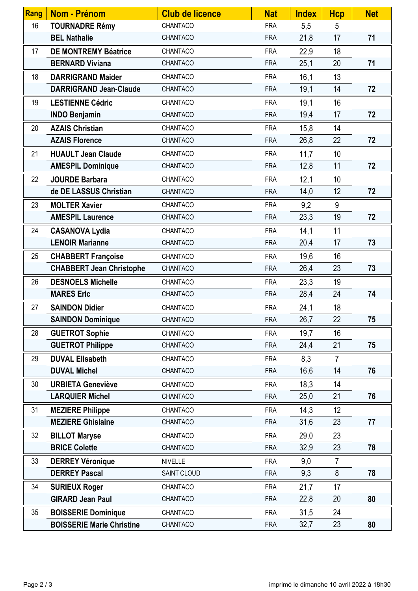| Rang | <b>Nom - Prénom</b>              | <b>Club de licence</b> | <b>Nat</b> | <b>Index</b> | <b>Hcp</b>     | <b>Net</b> |
|------|----------------------------------|------------------------|------------|--------------|----------------|------------|
| 16   | <b>TOURNADRE Rémy</b>            | CHANTACO               | <b>FRA</b> | 5,5          | 5              |            |
|      | <b>BEL Nathalie</b>              | CHANTACO               | <b>FRA</b> | 21,8         | 17             | 71         |
| 17   | <b>DE MONTREMY Béatrice</b>      | CHANTACO               | <b>FRA</b> | 22,9         | 18             |            |
|      | <b>BERNARD Viviana</b>           | CHANTACO               | <b>FRA</b> | 25,1         | 20             | 71         |
| 18   | <b>DARRIGRAND Maider</b>         | CHANTACO               | <b>FRA</b> | 16,1         | 13             |            |
|      | <b>DARRIGRAND Jean-Claude</b>    | CHANTACO               | <b>FRA</b> | 19,1         | 14             | 72         |
| 19   | <b>LESTIENNE Cédric</b>          | CHANTACO               | <b>FRA</b> | 19,1         | 16             |            |
|      | <b>INDO Benjamin</b>             | CHANTACO               | <b>FRA</b> | 19,4         | 17             | 72         |
| 20   | <b>AZAIS Christian</b>           | CHANTACO               | <b>FRA</b> | 15,8         | 14             |            |
|      | <b>AZAIS Florence</b>            | CHANTACO               | <b>FRA</b> | 26,8         | 22             | 72         |
| 21   | <b>HUAULT Jean Claude</b>        | CHANTACO               | <b>FRA</b> | 11,7         | 10             |            |
|      | <b>AMESPIL Dominique</b>         | CHANTACO               | <b>FRA</b> | 12,8         | 11             | 72         |
| 22   | <b>JOURDE Barbara</b>            | CHANTACO               | <b>FRA</b> | 12,1         | 10             |            |
|      | de DE LASSUS Christian           | CHANTACO               | <b>FRA</b> | 14,0         | 12             | 72         |
| 23   | <b>MOLTER Xavier</b>             | CHANTACO               | <b>FRA</b> | 9,2          | 9              |            |
|      | <b>AMESPIL Laurence</b>          | CHANTACO               | <b>FRA</b> | 23,3         | 19             | 72         |
| 24   | <b>CASANOVA Lydia</b>            | CHANTACO               | <b>FRA</b> | 14,1         | 11             |            |
|      | <b>LENOIR Marianne</b>           | CHANTACO               | <b>FRA</b> | 20,4         | 17             | 73         |
| 25   | <b>CHABBERT Françoise</b>        | CHANTACO               | <b>FRA</b> | 19,6         | 16             |            |
|      | <b>CHABBERT Jean Christophe</b>  | CHANTACO               | <b>FRA</b> | 26,4         | 23             | 73         |
| 26   | <b>DESNOELS Michelle</b>         | CHANTACO               | <b>FRA</b> | 23,3         | 19             |            |
|      | <b>MARES Eric</b>                | CHANTACO               | <b>FRA</b> | 28,4         | 24             | 74         |
| 27   | <b>SAINDON Didier</b>            | CHANTACO               | <b>FRA</b> | 24,1         | 18             |            |
|      | <b>SAINDON Dominique</b>         | CHANTACO               | <b>FRA</b> | 26,7         | 22             | 75         |
| 28   | <b>GUETROT Sophie</b>            | CHANTACO               | <b>FRA</b> | 19,7         | 16             |            |
|      | <b>GUETROT Philippe</b>          | CHANTACO               | <b>FRA</b> | 24,4         | 21             | 75         |
| 29   | <b>DUVAL Elisabeth</b>           | CHANTACO               | <b>FRA</b> | 8,3          | $\overline{7}$ |            |
|      | <b>DUVAL Michel</b>              | CHANTACO               | <b>FRA</b> | 16,6         | 14             | 76         |
| 30   | <b>URBIETA Geneviève</b>         | CHANTACO               | <b>FRA</b> | 18,3         | 14             |            |
|      | <b>LARQUIER Michel</b>           | CHANTACO               | <b>FRA</b> | 25,0         | 21             | 76         |
| 31   | <b>MEZIERE Philippe</b>          | CHANTACO               | <b>FRA</b> | 14,3         | 12             |            |
|      | <b>MEZIERE Ghislaine</b>         | CHANTACO               | <b>FRA</b> | 31,6         | 23             | 77         |
| 32   | <b>BILLOT Maryse</b>             | CHANTACO               | <b>FRA</b> | 29,0         | 23             |            |
|      | <b>BRICE Colette</b>             | CHANTACO               | <b>FRA</b> | 32,9         | 23             | 78         |
| 33   | <b>DERREY Véronique</b>          | <b>NIVELLE</b>         | <b>FRA</b> | 9,0          | $\overline{7}$ |            |
|      | <b>DERREY Pascal</b>             | SAINT CLOUD            | <b>FRA</b> | 9,3          | 8              | 78         |
| 34   | <b>SURIEUX Roger</b>             | CHANTACO               | <b>FRA</b> | 21,7         | 17             |            |
|      | <b>GIRARD Jean Paul</b>          | CHANTACO               | <b>FRA</b> | 22,8         | 20             | 80         |
| 35   | <b>BOISSERIE Dominique</b>       | CHANTACO               | <b>FRA</b> | 31,5         | 24             |            |
|      | <b>BOISSERIE Marie Christine</b> | CHANTACO               | <b>FRA</b> | 32,7         | 23             | 80         |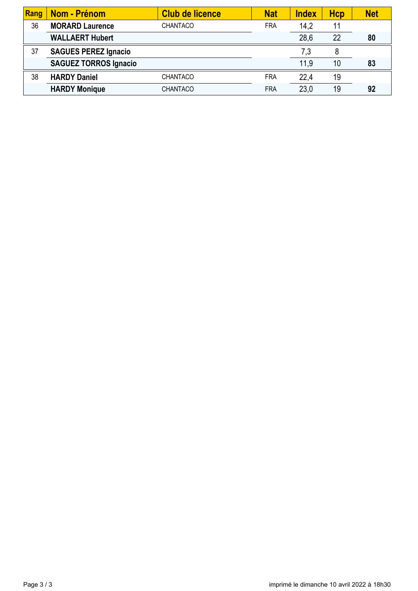| Rang | Nom - Prénom                 | <b>Club de licence</b> | <b>Nat</b> | <b>Index</b> | Hcp | <b>Net</b> |
|------|------------------------------|------------------------|------------|--------------|-----|------------|
| 36   | <b>MORARD Laurence</b>       | <b>CHANTACO</b>        | <b>FRA</b> | 14,2         | 11  |            |
|      | <b>WALLAERT Hubert</b>       |                        |            | 28,6         | 22  | 80         |
| 37   | <b>SAGUES PEREZ Ignacio</b>  |                        |            | 7,3          | 8   |            |
|      | <b>SAGUEZ TORROS Ignacio</b> |                        |            | 11,9         | 10  | 83         |
| 38   | <b>HARDY Daniel</b>          | <b>CHANTACO</b>        | <b>FRA</b> | 22.4         | 19  |            |
|      | <b>HARDY Monique</b>         | <b>CHANTACO</b>        | <b>FRA</b> | 23,0         | 19  | 92         |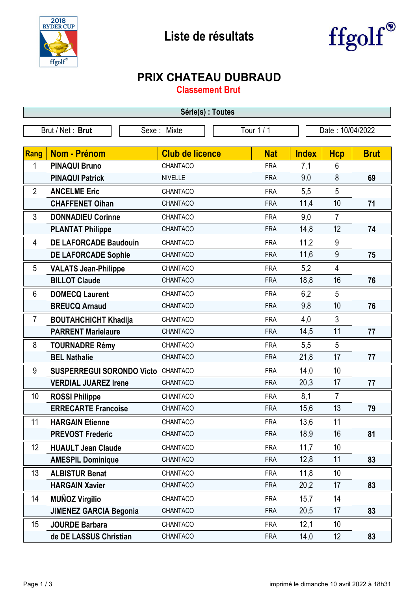



## **PRIX CHATEAU DUBRAUD**

**Classement Brut**

| Série(s) : Toutes                                                 |                                  |                        |            |              |                         |             |  |
|-------------------------------------------------------------------|----------------------------------|------------------------|------------|--------------|-------------------------|-------------|--|
| Tour 1 / 1<br>Date: 10/04/2022<br>Brut / Net: Brut<br>Sexe: Mixte |                                  |                        |            |              |                         |             |  |
|                                                                   |                                  |                        |            |              |                         |             |  |
| <b>Rang</b>                                                       | <b>Nom - Prénom</b>              | <b>Club de licence</b> | <b>Nat</b> | <b>Index</b> | <b>Hcp</b>              | <b>Brut</b> |  |
| 1                                                                 | <b>PINAQUI Bruno</b>             | CHANTACO               | <b>FRA</b> | 7,1          | 6                       |             |  |
|                                                                   | <b>PINAQUI Patrick</b>           | <b>NIVELLE</b>         | <b>FRA</b> | 9,0          | $\bf 8$                 | 69          |  |
| $\overline{2}$                                                    | <b>ANCELME Eric</b>              | CHANTACO               | <b>FRA</b> | 5,5          | 5                       |             |  |
|                                                                   | <b>CHAFFENET Oihan</b>           | CHANTACO               | <b>FRA</b> | 11,4         | 10                      | 71          |  |
| 3                                                                 | <b>DONNADIEU Corinne</b>         | CHANTACO               | <b>FRA</b> | 9,0          | 7                       |             |  |
|                                                                   | <b>PLANTAT Philippe</b>          | CHANTACO               | <b>FRA</b> | 14,8         | 12                      | 74          |  |
| 4                                                                 | <b>DE LAFORCADE Baudouin</b>     | CHANTACO               | <b>FRA</b> | 11,2         | 9                       |             |  |
|                                                                   | <b>DE LAFORCADE Sophie</b>       | CHANTACO               | <b>FRA</b> | 11,6         | 9                       | 75          |  |
| 5                                                                 | <b>VALATS Jean-Philippe</b>      | CHANTACO               | <b>FRA</b> | 5,2          | $\overline{\mathbf{4}}$ |             |  |
|                                                                   | <b>BILLOT Claude</b>             | CHANTACO               | <b>FRA</b> | 18,8         | 16                      | 76          |  |
| 6                                                                 | <b>DOMECQ Laurent</b>            | CHANTACO               | <b>FRA</b> | 6,2          | 5                       |             |  |
|                                                                   | <b>BREUCQ Arnaud</b>             | CHANTACO               | <b>FRA</b> | 9,8          | 10                      | 76          |  |
| $\overline{7}$                                                    | <b>BOUTAHCHICHT Khadija</b>      | CHANTACO               | <b>FRA</b> | 4,0          | 3                       |             |  |
|                                                                   | <b>PARRENT Marielaure</b>        | CHANTACO               | <b>FRA</b> | 14,5         | 11                      | 77          |  |
| 8                                                                 | <b>TOURNADRE Rémy</b>            | CHANTACO               | <b>FRA</b> | 5,5          | 5                       |             |  |
|                                                                   | <b>BEL Nathalie</b>              | CHANTACO               | <b>FRA</b> | 21,8         | 17                      | 77          |  |
| 9                                                                 | <b>SUSPERREGUI SORONDO Victo</b> | CHANTACO               | <b>FRA</b> | 14,0         | 10                      |             |  |
|                                                                   | <b>VERDIAL JUAREZ Irene</b>      | CHANTACO               | <b>FRA</b> | 20,3         | 17                      | 77          |  |
| 10                                                                | <b>ROSSI Philippe</b>            | CHANTACO               | <b>FRA</b> | 8,1          | $\overline{7}$          |             |  |
|                                                                   | <b>ERRECARTE Francoise</b>       | CHANTACO               | <b>FRA</b> | 15,6         | 13                      | 79          |  |
| 11                                                                | <b>HARGAIN Etienne</b>           | CHANTACO               | <b>FRA</b> | 13,6         | 11                      |             |  |
|                                                                   | <b>PREVOST Frederic</b>          | CHANTACO               | <b>FRA</b> | 18,9         | 16                      | 81          |  |
| 12                                                                | <b>HUAULT Jean Claude</b>        | CHANTACO               | <b>FRA</b> | 11,7         | 10                      |             |  |
|                                                                   | <b>AMESPIL Dominique</b>         | CHANTACO               | <b>FRA</b> | 12,8         | 11                      | 83          |  |
| 13                                                                | <b>ALBISTUR Benat</b>            | CHANTACO               | <b>FRA</b> | 11,8         | 10                      |             |  |
|                                                                   | <b>HARGAIN Xavier</b>            | CHANTACO               | <b>FRA</b> | 20,2         | 17                      | 83          |  |
| 14                                                                | <b>MUÑOZ Virgilio</b>            | CHANTACO               | <b>FRA</b> | 15,7         | 14                      |             |  |
|                                                                   | <b>JIMENEZ GARCIA Begonia</b>    | CHANTACO               | <b>FRA</b> | 20,5         | 17                      | 83          |  |
| 15                                                                | <b>JOURDE Barbara</b>            | CHANTACO               | <b>FRA</b> | 12,1         | 10                      |             |  |
|                                                                   | de DE LASSUS Christian           | CHANTACO               | <b>FRA</b> | 14,0         | 12                      | 83          |  |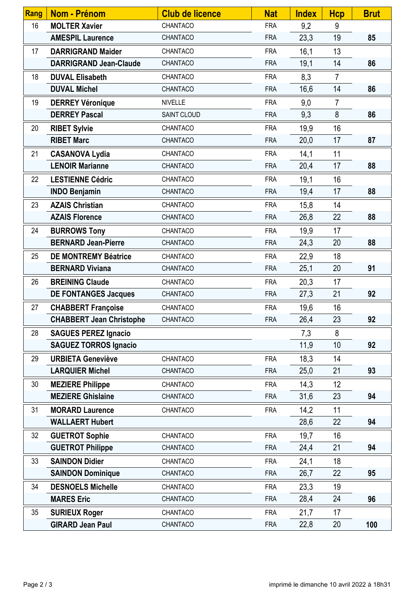| Rang | <b>Nom - Prénom</b>             | <b>Club de licence</b> | <b>Nat</b> | <b>Index</b> | <b>Hcp</b>     | <b>Brut</b> |
|------|---------------------------------|------------------------|------------|--------------|----------------|-------------|
| 16   | <b>MOLTER Xavier</b>            | CHANTACO               | <b>FRA</b> | 9,2          | 9              |             |
|      | <b>AMESPIL Laurence</b>         | CHANTACO               | <b>FRA</b> | 23,3         | 19             | 85          |
| 17   | <b>DARRIGRAND Maider</b>        | CHANTACO               | <b>FRA</b> | 16,1         | 13             |             |
|      | <b>DARRIGRAND Jean-Claude</b>   | CHANTACO               | <b>FRA</b> | 19,1         | 14             | 86          |
| 18   | <b>DUVAL Elisabeth</b>          | CHANTACO               | <b>FRA</b> | 8,3          | $\overline{7}$ |             |
|      | <b>DUVAL Michel</b>             | CHANTACO               | <b>FRA</b> | 16,6         | 14             | 86          |
| 19   | <b>DERREY Véronique</b>         | <b>NIVELLE</b>         | <b>FRA</b> | 9,0          | $\overline{7}$ |             |
|      | <b>DERREY Pascal</b>            | SAINT CLOUD            | <b>FRA</b> | 9,3          | 8              | 86          |
| 20   | <b>RIBET Sylvie</b>             | CHANTACO               | <b>FRA</b> | 19,9         | 16             |             |
|      | <b>RIBET Marc</b>               | CHANTACO               | <b>FRA</b> | 20,0         | 17             | 87          |
| 21   | <b>CASANOVA Lydia</b>           | CHANTACO               | <b>FRA</b> | 14,1         | 11             |             |
|      | <b>LENOIR Marianne</b>          | CHANTACO               | <b>FRA</b> | 20,4         | 17             | 88          |
| 22   | <b>LESTIENNE Cédric</b>         | CHANTACO               | <b>FRA</b> | 19,1         | 16             |             |
|      | <b>INDO Benjamin</b>            | CHANTACO               | <b>FRA</b> | 19,4         | 17             | 88          |
| 23   | <b>AZAIS Christian</b>          | CHANTACO               | <b>FRA</b> | 15,8         | 14             |             |
|      | <b>AZAIS Florence</b>           | CHANTACO               | <b>FRA</b> | 26,8         | 22             | 88          |
| 24   | <b>BURROWS Tony</b>             | CHANTACO               | <b>FRA</b> | 19,9         | 17             |             |
|      | <b>BERNARD Jean-Pierre</b>      | CHANTACO               | <b>FRA</b> | 24,3         | 20             | 88          |
| 25   | <b>DE MONTREMY Béatrice</b>     | CHANTACO               | <b>FRA</b> | 22,9         | 18             |             |
|      | <b>BERNARD Viviana</b>          | CHANTACO               | <b>FRA</b> | 25,1         | 20             | 91          |
| 26   | <b>BREINING Claude</b>          | CHANTACO               | <b>FRA</b> | 20,3         | 17             |             |
|      | <b>DE FONTANGES Jacques</b>     | CHANTACO               | <b>FRA</b> | 27,3         | 21             | 92          |
| 27   | <b>CHABBERT Françoise</b>       | CHANTACO               | <b>FRA</b> | 19,6         | 16             |             |
|      | <b>CHABBERT Jean Christophe</b> | CHANTACO               | <b>FRA</b> | 26,4         | 23             | 92          |
| 28   | <b>SAGUES PEREZ Ignacio</b>     |                        |            | 7,3          | 8              |             |
|      | <b>SAGUEZ TORROS Ignacio</b>    |                        |            | 11,9         | 10             | 92          |
| 29   | <b>URBIETA Geneviève</b>        | CHANTACO               | <b>FRA</b> | 18,3         | 14             |             |
|      | <b>LARQUIER Michel</b>          | CHANTACO               | <b>FRA</b> | 25,0         | 21             | 93          |
| 30   | <b>MEZIERE Philippe</b>         | CHANTACO               | <b>FRA</b> | 14,3         | 12             |             |
|      | <b>MEZIERE Ghislaine</b>        | CHANTACO               | <b>FRA</b> | 31,6         | 23             | 94          |
| 31   | <b>MORARD Laurence</b>          | CHANTACO               | <b>FRA</b> | 14,2         | 11             |             |
|      | <b>WALLAERT Hubert</b>          |                        |            | 28,6         | 22             | 94          |
| 32   | <b>GUETROT Sophie</b>           | CHANTACO               | <b>FRA</b> | 19,7         | 16             |             |
|      | <b>GUETROT Philippe</b>         | CHANTACO               | <b>FRA</b> | 24,4         | 21             | 94          |
| 33   | <b>SAINDON Didier</b>           | CHANTACO               | <b>FRA</b> | 24,1         | 18             |             |
|      | <b>SAINDON Dominique</b>        | CHANTACO               | <b>FRA</b> | 26,7         | 22             | 95          |
| 34   | <b>DESNOELS Michelle</b>        | CHANTACO               | <b>FRA</b> | 23,3         | 19             |             |
|      | <b>MARES Eric</b>               | CHANTACO               | <b>FRA</b> | 28,4         | 24             | 96          |
| 35   | <b>SURIEUX Roger</b>            | CHANTACO               | <b>FRA</b> | 21,7         | 17             |             |
|      | <b>GIRARD Jean Paul</b>         | CHANTACO               | <b>FRA</b> | 22,8         | 20             | 100         |